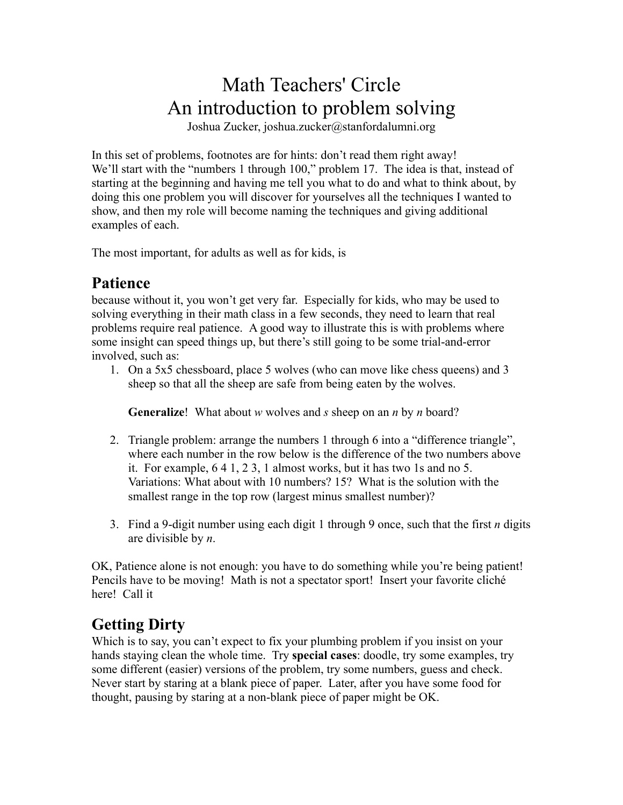# Math Teachers' Circle An introduction to problem solving

Joshua Zucker, joshua.zucker@stanfordalumni.org

In this set of problems, footnotes are for hints: don't read them right away! We'll start with the "numbers 1 through 100," problem 17. The idea is that, instead of starting at the beginning and having me tell you what to do and what to think about, by doing this one problem you will discover for yourselves all the techniques I wanted to show, and then my role will become naming the techniques and giving additional examples of each.

The most important, for adults as well as for kids, is

#### **Patience**

because without it, you won't get very far. Especially for kids, who may be used to solving everything in their math class in a few seconds, they need to learn that real problems require real patience. A good way to illustrate this is with problems where some insight can speed things up, but there's still going to be some trial-and-error involved, such as:

1. On a 5x5 chessboard, place 5 wolves (who can move like chess queens) and 3 sheep so that all the sheep are safe from being eaten by the wolves.

**Generalize**! What about *w* wolves and *s* sheep on an *n* by *n* board?

- 2. Triangle problem: arrange the numbers 1 through 6 into a "difference triangle", where each number in the row below is the difference of the two numbers above it. For example, 6 4 1, 2 3, 1 almost works, but it has two 1s and no 5. Variations: What about with 10 numbers? 15? What is the solution with the smallest range in the top row (largest minus smallest number)?
- 3. Find a 9-digit number using each digit 1 through 9 once, such that the first *n* digits are divisible by *n*.

OK, Patience alone is not enough: you have to do something while you're being patient! Pencils have to be moving! Math is not a spectator sport! Insert your favorite cliché here! Call it

## **Getting Dirty**

Which is to say, you can't expect to fix your plumbing problem if you insist on your hands staying clean the whole time. Try **special cases**: doodle, try some examples, try some different (easier) versions of the problem, try some numbers, guess and check. Never start by staring at a blank piece of paper. Later, after you have some food for thought, pausing by staring at a non-blank piece of paper might be OK.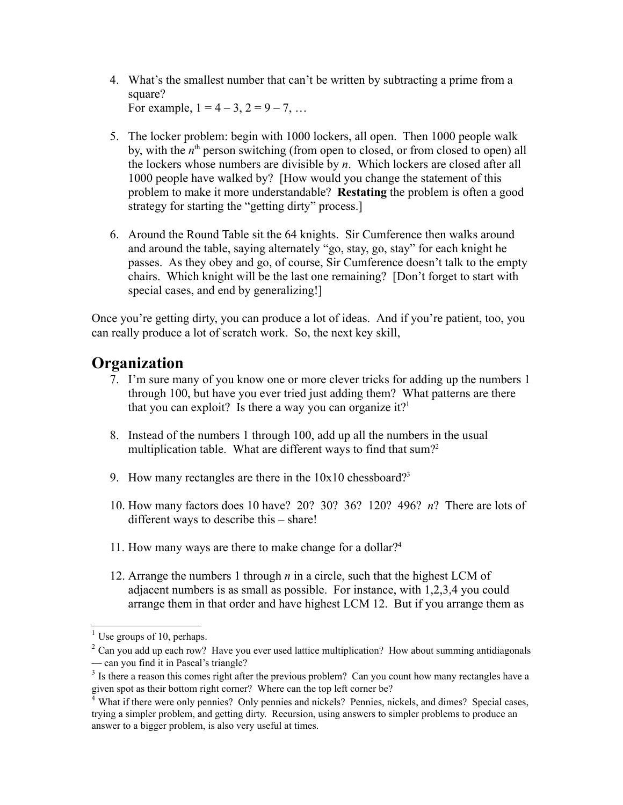- 4. What's the smallest number that can't be written by subtracting a prime from a square? For example,  $1 = 4 - 3$ ,  $2 = 9 - 7$ , ...
- 5. The locker problem: begin with 1000 lockers, all open. Then 1000 people walk by, with the *n*<sup>th</sup> person switching (from open to closed, or from closed to open) all the lockers whose numbers are divisible by *n*. Which lockers are closed after all 1000 people have walked by? [How would you change the statement of this problem to make it more understandable? **Restating** the problem is often a good strategy for starting the "getting dirty" process.]
- 6. Around the Round Table sit the 64 knights. Sir Cumference then walks around and around the table, saying alternately "go, stay, go, stay" for each knight he passes. As they obey and go, of course, Sir Cumference doesn't talk to the empty chairs. Which knight will be the last one remaining? [Don't forget to start with special cases, and end by generalizing!]

Once you're getting dirty, you can produce a lot of ideas. And if you're patient, too, you can really produce a lot of scratch work. So, the next key skill,

## **Organization**

- 7. I'm sure many of you know one or more clever tricks for adding up the numbers 1 through 100, but have you ever tried just adding them? What patterns are there that you can exploit? Is there a way you can organize it?<sup>1</sup>
- 8. Instead of the numbers 1 through 100, add up all the numbers in the usual multiplication table. What are different ways to find that sum?<sup>2</sup>
- 9. How many rectangles are there in the  $10x10$  chessboard?<sup>3</sup>
- 10. How many factors does 10 have? 20? 30? 36? 120? 496? *n*? There are lots of different ways to describe this – share!
- 11. How many ways are there to make change for a dollar?4
- 12. Arrange the numbers 1 through *n* in a circle, such that the highest LCM of adjacent numbers is as small as possible. For instance, with 1,2,3,4 you could arrange them in that order and have highest LCM 12. But if you arrange them as

 $<sup>1</sup>$  Use groups of 10, perhaps.</sup>

 $2$  Can you add up each row? Have you ever used lattice multiplication? How about summing antidiagonals — can you find it in Pascal's triangle?

 $3$  Is there a reason this comes right after the previous problem? Can you count how many rectangles have a given spot as their bottom right corner? Where can the top left corner be?

<sup>&</sup>lt;sup>4</sup> What if there were only pennies? Only pennies and nickels? Pennies, nickels, and dimes? Special cases, trying a simpler problem, and getting dirty. Recursion, using answers to simpler problems to produce an answer to a bigger problem, is also very useful at times.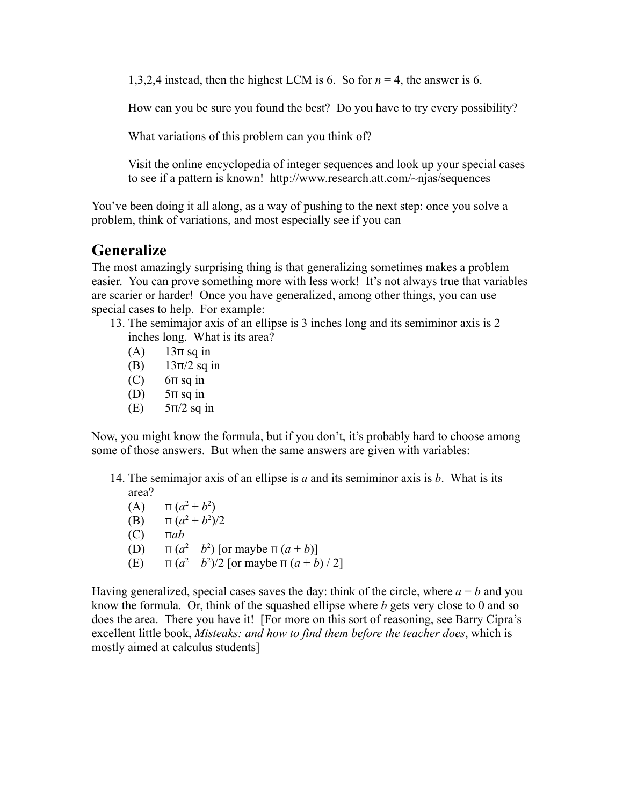1,3,2,4 instead, then the highest LCM is 6. So for *n* = 4, the answer is 6.

How can you be sure you found the best? Do you have to try every possibility?

What variations of this problem can you think of?

Visit the online encyclopedia of integer sequences and look up your special cases to see if a pattern is known! http://www.research.att.com/~njas/sequences

You've been doing it all along, as a way of pushing to the next step: once you solve a problem, think of variations, and most especially see if you can

#### **Generalize**

The most amazingly surprising thing is that generalizing sometimes makes a problem easier. You can prove something more with less work! It's not always true that variables are scarier or harder! Once you have generalized, among other things, you can use special cases to help. For example:

- 13. The semimajor axis of an ellipse is 3 inches long and its semiminor axis is 2 inches long. What is its area?
	- (A)  $13\pi$  sq in
	- (B)  $13π/2$  sq in
	- $(C)$  6π sq in
	- (D)  $5\pi$  sq in
	- $(E)$  5π/2 sq in

Now, you might know the formula, but if you don't, it's probably hard to choose among some of those answers. But when the same answers are given with variables:

- 14. The semimajor axis of an ellipse is *a* and its semiminor axis is *b*. What is its area?
	- (A)  $\pi (a^2 + b^2)$
	- (B)  $\pi (a^2 + b^2)/2$
	- (C) π*ab*
	- (D)  $\pi (a^2 b^2)$  [or maybe  $\pi (a + b)$ ]
	- (E)  $\pi (a^2 b^2)/2$  [or maybe  $\pi (a + b) / 2$ ]

Having generalized, special cases saves the day: think of the circle, where  $a = b$  and you know the formula. Or, think of the squashed ellipse where *b* gets very close to 0 and so does the area. There you have it! [For more on this sort of reasoning, see Barry Cipra's excellent little book, *Misteaks: and how to find them before the teacher does*, which is mostly aimed at calculus students]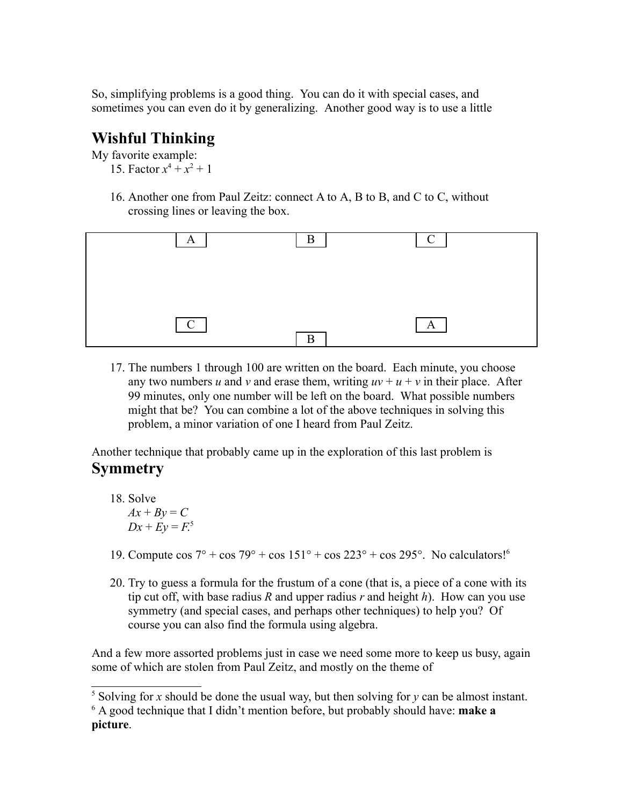So, simplifying problems is a good thing. You can do it with special cases, and sometimes you can even do it by generalizing. Another good way is to use a little

### **Wishful Thinking**

My favorite example:

- 15. Factor  $x^4 + x^2 + 1$
- 16. Another one from Paul Zeitz: connect A to A, B to B, and C to C, without crossing lines or leaving the box.



17. The numbers 1 through 100 are written on the board. Each minute, you choose any two numbers *u* and *v* and erase them, writing  $uv + u + v$  in their place. After 99 minutes, only one number will be left on the board. What possible numbers might that be? You can combine a lot of the above techniques in solving this problem, a minor variation of one I heard from Paul Zeitz.

Another technique that probably came up in the exploration of this last problem is **Symmetry**

18. Solve

 $Ax + By = C$  $Dx + Ey = F^5$ 

- 19. Compute cos  $7^\circ$  + cos  $79^\circ$  + cos  $151^\circ$  + cos  $223^\circ$  + cos  $295^\circ$ . No calculators!<sup>6</sup>
- 20. Try to guess a formula for the frustum of a cone (that is, a piece of a cone with its tip cut off, with base radius *R* and upper radius *r* and height *h*). How can you use symmetry (and special cases, and perhaps other techniques) to help you? Of course you can also find the formula using algebra.

And a few more assorted problems just in case we need some more to keep us busy, again some of which are stolen from Paul Zeitz, and mostly on the theme of

 $5$  Solving for *x* should be done the usual way, but then solving for *y* can be almost instant. 6 A good technique that I didn't mention before, but probably should have: **make a picture**.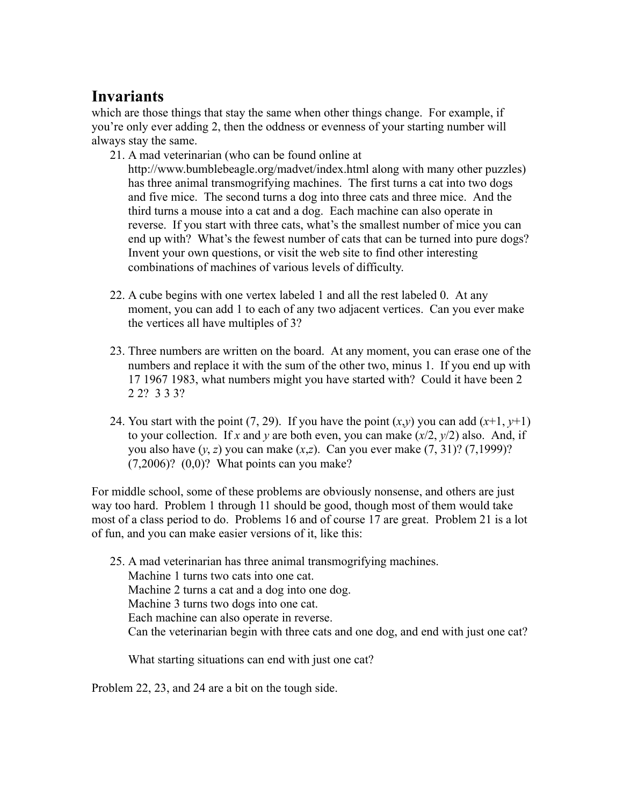# **Invariants**

which are those things that stay the same when other things change. For example, if you're only ever adding 2, then the oddness or evenness of your starting number will always stay the same.

21. A mad veterinarian (who can be found online at

http://www.bumblebeagle.org/madvet/index.html along with many other puzzles) has three animal transmogrifying machines. The first turns a cat into two dogs and five mice. The second turns a dog into three cats and three mice. And the third turns a mouse into a cat and a dog. Each machine can also operate in reverse. If you start with three cats, what's the smallest number of mice you can end up with? What's the fewest number of cats that can be turned into pure dogs? Invent your own questions, or visit the web site to find other interesting combinations of machines of various levels of difficulty.

- 22. A cube begins with one vertex labeled 1 and all the rest labeled 0. At any moment, you can add 1 to each of any two adjacent vertices. Can you ever make the vertices all have multiples of 3?
- 23. Three numbers are written on the board. At any moment, you can erase one of the numbers and replace it with the sum of the other two, minus 1. If you end up with 17 1967 1983, what numbers might you have started with? Could it have been 2 2 2? 3 3 3?
- 24. You start with the point (7, 29). If you have the point  $(x,y)$  you can add  $(x+1, y+1)$ to your collection. If *x* and *y* are both even, you can make (*x*/2, *y*/2) also. And, if you also have  $(y, z)$  you can make  $(x, z)$ . Can you ever make  $(7, 31)$ ?  $(7, 1999)$ ?  $(7,2006)$ ?  $(0,0)$ ? What points can you make?

For middle school, some of these problems are obviously nonsense, and others are just way too hard. Problem 1 through 11 should be good, though most of them would take most of a class period to do. Problems 16 and of course 17 are great. Problem 21 is a lot of fun, and you can make easier versions of it, like this:

25. A mad veterinarian has three animal transmogrifying machines. Machine 1 turns two cats into one cat. Machine 2 turns a cat and a dog into one dog. Machine 3 turns two dogs into one cat. Each machine can also operate in reverse. Can the veterinarian begin with three cats and one dog, and end with just one cat?

What starting situations can end with just one cat?

Problem 22, 23, and 24 are a bit on the tough side.